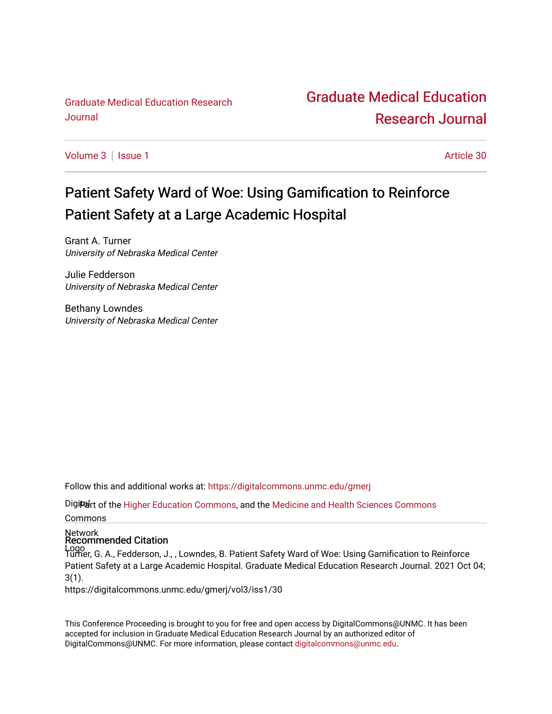[Graduate Medical Education Research](http://www.unmc.edu/)  Journal

## [Graduate Medical Education](https://digitalcommons.unmc.edu/gmerj)  [Research Journal](https://digitalcommons.unmc.edu/gmerj)

[Volume 3](https://digitalcommons.unmc.edu/gmerj/vol3) | [Issue 1](https://digitalcommons.unmc.edu/gmerj/vol3/iss1) Article 30

# Patient Safety Ward of Woe: Using Gamification to Reinforce Patient Safety at a Large Academic Hospital

Grant A. Turner University of Nebraska Medical Center

Julie Fedderson University of Nebraska Medical Center

Bethany Lowndes University of Nebraska Medical Center

Follow this and additional works at: [https://digitalcommons.unmc.edu/gmerj](https://digitalcommons.unmc.edu/gmerj?utm_source=digitalcommons.unmc.edu%2Fgmerj%2Fvol3%2Fiss1%2F30&utm_medium=PDF&utm_campaign=PDFCoverPages) 

Digitart of the [Higher Education Commons,](http://network.bepress.com/hgg/discipline/1245?utm_source=digitalcommons.unmc.edu%2Fgmerj%2Fvol3%2Fiss1%2F30&utm_medium=PDF&utm_campaign=PDFCoverPages) and the [Medicine and Health Sciences Commons](http://network.bepress.com/hgg/discipline/648?utm_source=digitalcommons.unmc.edu%2Fgmerj%2Fvol3%2Fiss1%2F30&utm_medium=PDF&utm_campaign=PDFCoverPages) Commons

## Network Recommended Citation

Logo Turner, G. A., Fedderson, J., , Lowndes, B. Patient Safety Ward of Woe: Using Gamification to Reinforce Patient Safety at a Large Academic Hospital. Graduate Medical Education Research Journal. 2021 Oct 04; 3(1).

https://digitalcommons.unmc.edu/gmerj/vol3/iss1/30

This Conference Proceeding is brought to you for free and open access by DigitalCommons@UNMC. It has been accepted for inclusion in Graduate Medical Education Research Journal by an authorized editor of DigitalCommons@UNMC. For more information, please contact [digitalcommons@unmc.edu.](mailto:digitalcommons@unmc.edu)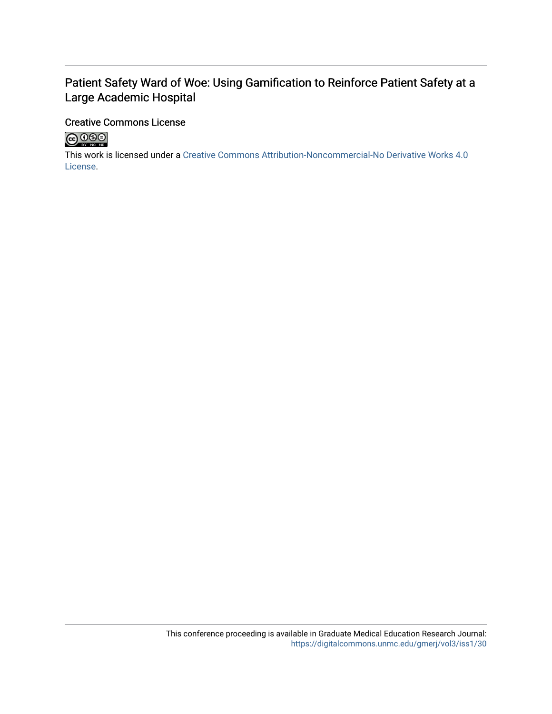### Patient Safety Ward of Woe: Using Gamification to Reinforce Patient Safety at a Large Academic Hospital

### Creative Commons License



This work is licensed under a [Creative Commons Attribution-Noncommercial-No Derivative Works 4.0](http://creativecommons.org/licenses/by-nc-nd/4.0/) [License](http://creativecommons.org/licenses/by-nc-nd/4.0/).